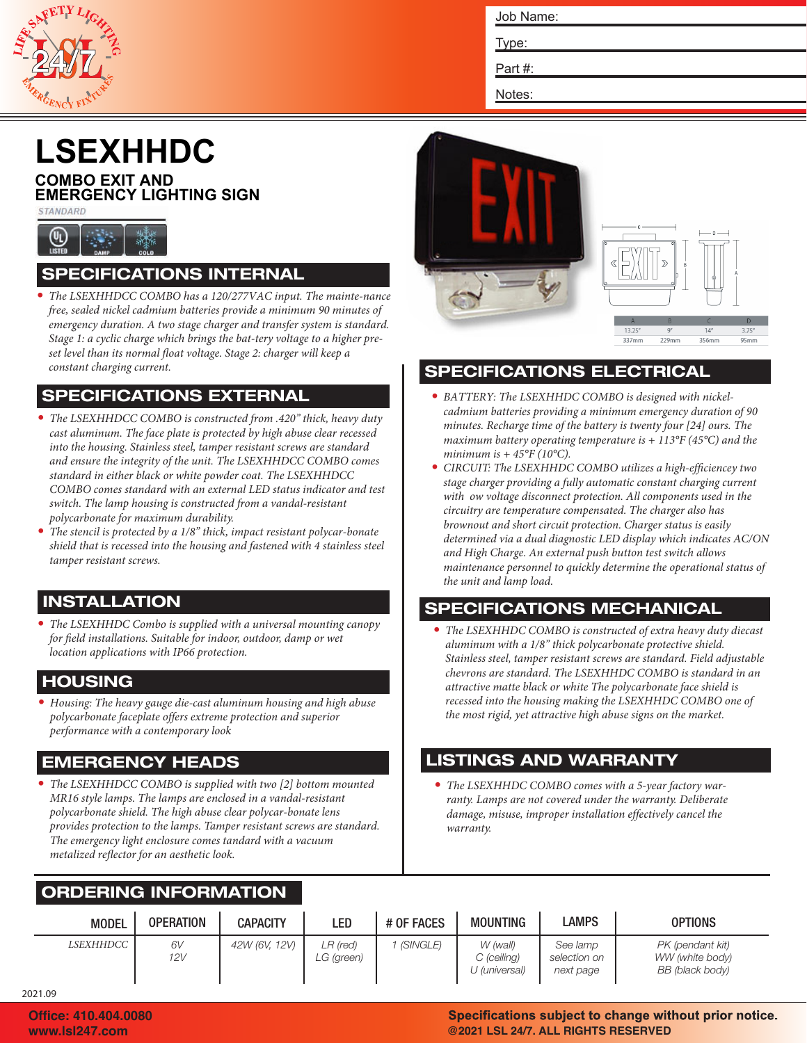

Job Name:

Type:

Part #:

Notes:

## **LSEXHHDC**

#### **COMBO EXIT AND EMERGENCY LIGHTING SIGN**

STANDARD



#### SPECIFICATIONS INTERNAL

*• The LSEXHHDCC COMBO has a 120/277VAC input. The mainte-nance free, sealed nickel cadmium batteries provide a minimum 90 minutes of emergency duration. A two stage charger and transfer system is standard. Stage 1: a cyclic charge which brings the bat-tery voltage to a higher preset level than its normal float voltage. Stage 2: charger will keep a constant charging current.*

#### SPECIFICATIONS EXTERNAL

- *• The LSEXHHDCC COMBO is constructed from .420" thick, heavy duty cast aluminum. The face plate is protected by high abuse clear recessed into the housing. Stainless steel, tamper resistant screws are standard and ensure the integrity of the unit. The LSEXHHDCC COMBO comes standard in either black or white powder coat. The LSEXHHDCC COMBO comes standard with an external LED status indicator and test switch. The lamp housing is constructed from a vandal-resistant polycarbonate for maximum durability.*
- *• The stencil is protected by a 1/8" thick, impact resistant polycar-bonate shield that is recessed into the housing and fastened with 4 stainless steel tamper resistant screws.*

#### INSTALLATION

*• The LSEXHHDC Combo is supplied with a universal mounting canopy for field installations. Suitable for indoor, outdoor, damp or wet location applications with IP66 protection.*

#### HOUSING

*• Housing: The heavy gauge die-cast aluminum housing and high abuse polycarbonate faceplate offers extreme protection and superior performance with a contemporary look*

#### EMERGENCY HEADS

*• The LSEXHHDCC COMBO is supplied with two [2] bottom mounted MR16 style lamps. The lamps are enclosed in a vandal-resistant polycarbonate shield. The high abuse clear polycar-bonate lens provides protection to the lamps. Tamper resistant screws are standard. The emergency light enclosure comes tandard with a vacuum metalized reflector for an aesthetic look.*

# $337m$  $229m$  $252$

#### SPECIFICATIONS ELECTRICAL

- *• BATTERY: The LSEXHHDC COMBO is designed with nickelcadmium batteries providing a minimum emergency duration of 90 minutes. Recharge time of the battery is twenty four [24] ours. The maximum battery operating temperature is + 113°F (45°C) and the minimum is + 45°F (10°C).*
- *• CIRCUIT: The LSEXHHDC COMBO utilizes a high-efficiencey two stage charger providing a fully automatic constant charging current with ow voltage disconnect protection. All components used in the circuitry are temperature compensated. The charger also has brownout and short circuit protection. Charger status is easily determined via a dual diagnostic LED display which indicates AC/ON and High Charge. An external push button test switch allows maintenance personnel to quickly determine the operational status of the unit and lamp load.*

#### SPECIFICATIONS MECHANICAL

*• The LSEXHHDC COMBO is constructed of extra heavy duty diecast aluminum with a 1/8" thick polycarbonate protective shield. Stainless steel, tamper resistant screws are standard. Field adjustable chevrons are standard. The LSEXHHDC COMBO is standard in an attractive matte black or white The polycarbonate face shield is recessed into the housing making the LSEXHHDC COMBO one of the most rigid, yet attractive high abuse signs on the market.*

#### LISTINGS AND WARRANTY

*• The LSEXHHDC COMBO comes with a 5-year factory warranty. Lamps are not covered under the warranty. Deliberate damage, misuse, improper installation effectively cancel the warranty.*

#### ORDERING INFORMATION

| <b>MODEL</b> | <b>OPERATION</b> | <b>CAPACITY</b> | LED                      | # OF FACES | <b>MOUNTING</b>                          | <b>LAMPS</b>                          | <b>OPTIONS</b>                                         |
|--------------|------------------|-----------------|--------------------------|------------|------------------------------------------|---------------------------------------|--------------------------------------------------------|
| LSEXHHDCC    | 6V<br>12V        | 42W (6V, 12V)   | $LR$ (red)<br>LG (green) | (SINGLE)   | W (wall)<br>C (ceiling)<br>U (universal) | See lamp<br>selection on<br>next page | PK (pendant kit)<br>WW (white body)<br>BB (black body) |